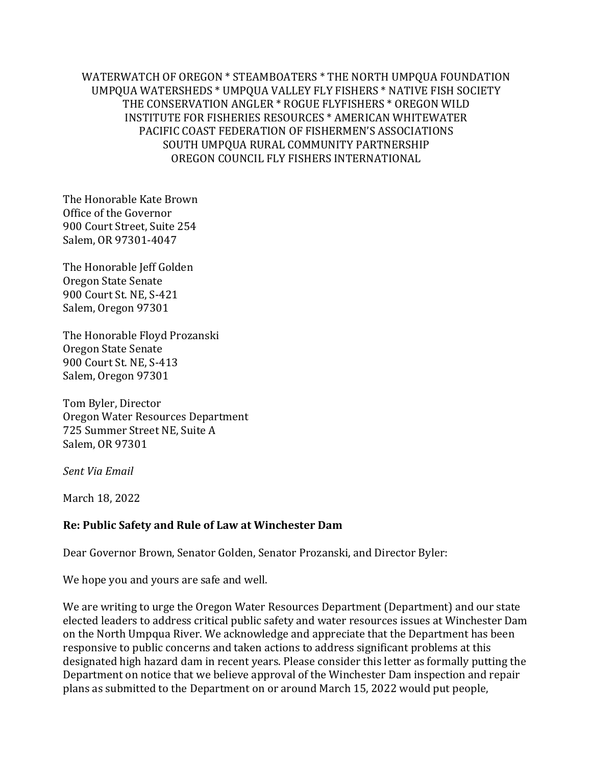WATERWATCH OF OREGON \* STEAMBOATERS \* THE NORTH UMPQUA FOUNDATION UMPQUA WATERSHEDS \* UMPQUA VALLEY FLY FISHERS \* NATIVE FISH SOCIETY THE CONSERVATION ANGLER \* ROGUE FLYFISHERS \* OREGON WILD INSTITUTE FOR FISHERIES RESOURCES \* AMERICAN WHITEWATER PACIFIC COAST FEDERATION OF FISHERMEN'S ASSOCIATIONS SOUTH UMPOUA RURAL COMMUNITY PARTNERSHIP OREGON COUNCIL FLY FISHERS INTERNATIONAL

The Honorable Kate Brown Office of the Governor 900 Court Street, Suite 254 Salem, OR 97301-4047

The Honorable Jeff Golden Oregon State Senate 900 Court St. NE, S-421 Salem, Oregon 97301

The Honorable Floyd Prozanski Oregon State Senate 900 Court St. NE, S-413 Salem, Oregon 97301

Tom Byler, Director Oregon Water Resources Department 725 Summer Street NE, Suite A Salem, OR 97301

*Sent Via Email* 

March 18, 2022

## **Re: Public Safety and Rule of Law at Winchester Dam**

Dear Governor Brown, Senator Golden, Senator Prozanski, and Director Byler:

We hope you and yours are safe and well.

We are writing to urge the Oregon Water Resources Department (Department) and our state elected leaders to address critical public safety and water resources issues at Winchester Dam on the North Umpqua River. We acknowledge and appreciate that the Department has been responsive to public concerns and taken actions to address significant problems at this designated high hazard dam in recent years. Please consider this letter as formally putting the Department on notice that we believe approval of the Winchester Dam inspection and repair plans as submitted to the Department on or around March 15, 2022 would put people,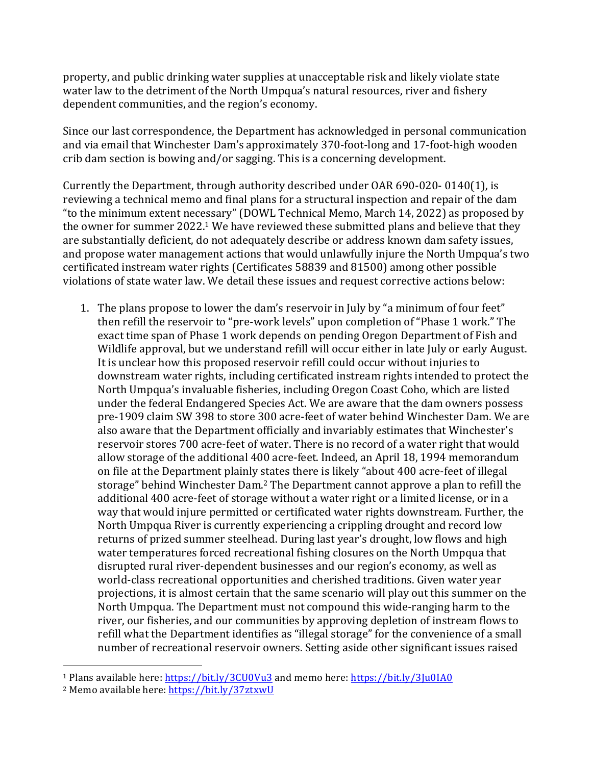property, and public drinking water supplies at unacceptable risk and likely violate state water law to the detriment of the North Umpqua's natural resources, river and fishery dependent communities, and the region's economy.

Since our last correspondence, the Department has acknowledged in personal communication and via email that Winchester Dam's approximately 370-foot-long and 17-foot-high wooden crib dam section is bowing and/or sagging. This is a concerning development.

Currently the Department, through authority described under OAR  $690-020-0140(1)$ , is reviewing a technical memo and final plans for a structural inspection and repair of the dam "to the minimum extent necessary" (DOWL Technical Memo, March 14, 2022) as proposed by the owner for summer  $2022.1$  We have reviewed these submitted plans and believe that they are substantially deficient, do not adequately describe or address known dam safety issues, and propose water management actions that would unlawfully injure the North Umpqua's two certificated instream water rights (Certificates 58839 and 81500) among other possible violations of state water law. We detail these issues and request corrective actions below:

1. The plans propose to lower the dam's reservoir in July by "a minimum of four feet" then refill the reservoir to "pre-work levels" upon completion of "Phase 1 work." The exact time span of Phase 1 work depends on pending Oregon Department of Fish and Wildlife approval, but we understand refill will occur either in late July or early August. It is unclear how this proposed reservoir refill could occur without injuries to downstream water rights, including certificated instream rights intended to protect the North Umpqua's invaluable fisheries, including Oregon Coast Coho, which are listed under the federal Endangered Species Act. We are aware that the dam owners possess pre-1909 claim SW 398 to store 300 acre-feet of water behind Winchester Dam. We are also aware that the Department officially and invariably estimates that Winchester's reservoir stores 700 acre-feet of water. There is no record of a water right that would allow storage of the additional 400 acre-feet. Indeed, an April 18, 1994 memorandum on file at the Department plainly states there is likely "about 400 acre-feet of illegal storage" behind Winchester Dam.<sup>2</sup> The Department cannot approve a plan to refill the additional 400 acre-feet of storage without a water right or a limited license, or in a way that would injure permitted or certificated water rights downstream. Further, the North Umpqua River is currently experiencing a crippling drought and record low returns of prized summer steelhead. During last year's drought, low flows and high water temperatures forced recreational fishing closures on the North Umpqua that disrupted rural river-dependent businesses and our region's economy, as well as world-class recreational opportunities and cherished traditions. Given water year projections, it is almost certain that the same scenario will play out this summer on the North Umpqua. The Department must not compound this wide-ranging harm to the river, our fisheries, and our communities by approving depletion of instream flows to refill what the Department identifies as "illegal storage" for the convenience of a small number of recreational reservoir owners. Setting aside other significant issues raised

 

<sup>&</sup>lt;sup>1</sup> Plans available here: https://bit.ly/3CU0Vu3 and memo here: https://bit.ly/3Ju0IA0

<sup>&</sup>lt;sup>2</sup> Memo available here: https://bit.ly/37ztxwU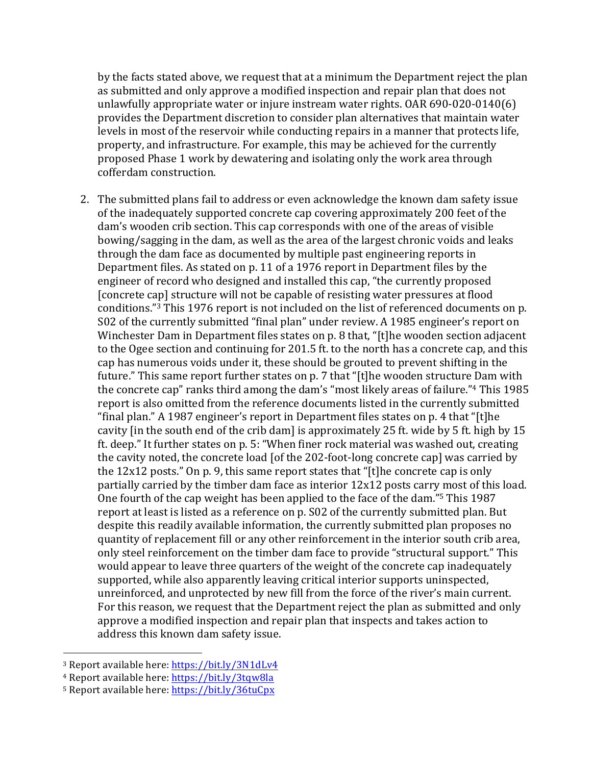by the facts stated above, we request that at a minimum the Department reject the plan as submitted and only approve a modified inspection and repair plan that does not unlawfully appropriate water or injure instream water rights. OAR  $690-020-0140(6)$ provides the Department discretion to consider plan alternatives that maintain water levels in most of the reservoir while conducting repairs in a manner that protects life, property, and infrastructure. For example, this may be achieved for the currently proposed Phase 1 work by dewatering and isolating only the work area through cofferdam construction.

- 2. The submitted plans fail to address or even acknowledge the known dam safety issue of the inadequately supported concrete cap covering approximately 200 feet of the dam's wooden crib section. This cap corresponds with one of the areas of visible bowing/sagging in the dam, as well as the area of the largest chronic voids and leaks through the dam face as documented by multiple past engineering reports in Department files. As stated on p. 11 of a 1976 report in Department files by the engineer of record who designed and installed this cap, "the currently proposed [concrete cap] structure will not be capable of resisting water pressures at flood conditions."<sup>3</sup> This 1976 report is not included on the list of referenced documents on p. S02 of the currently submitted "final plan" under review. A 1985 engineer's report on Winchester Dam in Department files states on p. 8 that, "[t]he wooden section adjacent to the Ogee section and continuing for 201.5 ft. to the north has a concrete cap, and this cap has numerous voids under it, these should be grouted to prevent shifting in the future." This same report further states on p. 7 that "[t]he wooden structure Dam with the concrete cap" ranks third among the dam's "most likely areas of failure."<sup>4</sup> This 1985 report is also omitted from the reference documents listed in the currently submitted "final plan." A 1987 engineer's report in Department files states on p. 4 that "[t]he cavity  $\int$  in the south end of the crib dam] is approximately 25 ft. wide by 5 ft. high by 15 ft. deep." It further states on p. 5: "When finer rock material was washed out, creating the cavity noted, the concrete load [of the 202-foot-long concrete cap] was carried by the  $12x12$  posts." On p. 9, this same report states that "[t]he concrete cap is only partially carried by the timber dam face as interior  $12x12$  posts carry most of this load. One fourth of the cap weight has been applied to the face of the dam."<sup>5</sup> This 1987 report at least is listed as a reference on p. S02 of the currently submitted plan. But despite this readily available information, the currently submitted plan proposes no quantity of replacement fill or any other reinforcement in the interior south crib area, only steel reinforcement on the timber dam face to provide "structural support." This would appear to leave three quarters of the weight of the concrete cap inadequately supported, while also apparently leaving critical interior supports uninspected, unreinforced, and unprotected by new fill from the force of the river's main current. For this reason, we request that the Department reject the plan as submitted and only approve a modified inspection and repair plan that inspects and takes action to address this known dam safety issue.
- <sup>3</sup> Report available here: https://bit.ly/3N1dLv4

 

- <sup>4</sup> Report available here: https://bit.ly/3tqw8la
- <sup>5</sup> Report available here: https://bit.ly/36tuCpx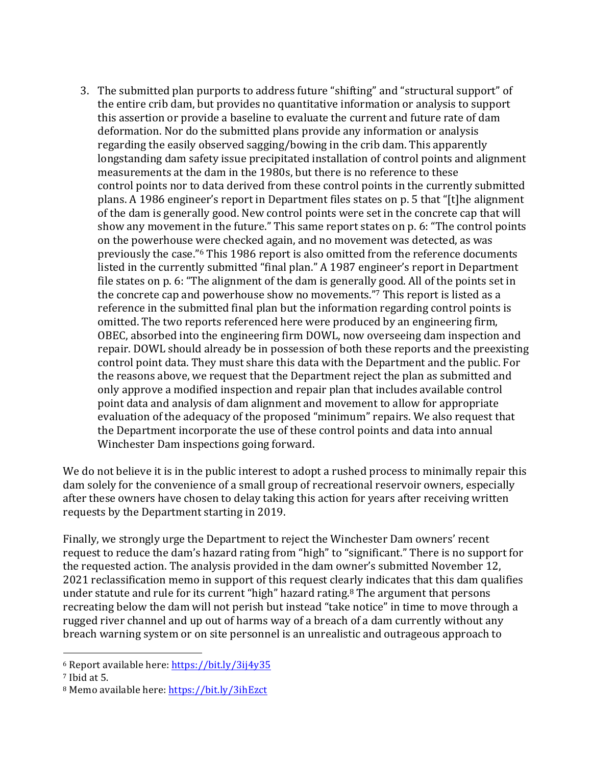3. The submitted plan purports to address future "shifting" and "structural support" of the entire crib dam, but provides no quantitative information or analysis to support this assertion or provide a baseline to evaluate the current and future rate of dam deformation. Nor do the submitted plans provide any information or analysis regarding the easily observed sagging/bowing in the crib dam. This apparently longstanding dam safety issue precipitated installation of control points and alignment measurements at the dam in the 1980s, but there is no reference to these control points nor to data derived from these control points in the currently submitted plans. A 1986 engineer's report in Department files states on p. 5 that "[t]he alignment of the dam is generally good. New control points were set in the concrete cap that will show any movement in the future." This same report states on p. 6: "The control points on the powerhouse were checked again, and no movement was detected, as was previously the case."<sup>6</sup> This 1986 report is also omitted from the reference documents listed in the currently submitted "final plan." A 1987 engineer's report in Department file states on p. 6: "The alignment of the dam is generally good. All of the points set in the concrete cap and powerhouse show no movements."<sup>7</sup> This report is listed as a reference in the submitted final plan but the information regarding control points is omitted. The two reports referenced here were produced by an engineering firm, OBEC, absorbed into the engineering firm DOWL, now overseeing dam inspection and repair. DOWL should already be in possession of both these reports and the preexisting control point data. They must share this data with the Department and the public. For the reasons above, we request that the Department reject the plan as submitted and only approve a modified inspection and repair plan that includes available control point data and analysis of dam alignment and movement to allow for appropriate evaluation of the adequacy of the proposed "minimum" repairs. We also request that the Department incorporate the use of these control points and data into annual Winchester Dam inspections going forward.

We do not believe it is in the public interest to adopt a rushed process to minimally repair this dam solely for the convenience of a small group of recreational reservoir owners, especially after these owners have chosen to delay taking this action for years after receiving written requests by the Department starting in 2019.

Finally, we strongly urge the Department to reject the Winchester Dam owners' recent request to reduce the dam's hazard rating from "high" to "significant." There is no support for the requested action. The analysis provided in the dam owner's submitted November 12, 2021 reclassification memo in support of this request clearly indicates that this dam qualifies under statute and rule for its current "high" hazard rating.<sup>8</sup> The argument that persons recreating below the dam will not perish but instead "take notice" in time to move through a rugged river channel and up out of harms way of a breach of a dam currently without any breach warning system or on site personnel is an unrealistic and outrageous approach to

 

 $7$  Ibid at 5.

 $6$  Report available here: https://bit.ly/3ij4y35

<sup>8</sup> Memo available here: https://bit.ly/3ihEzct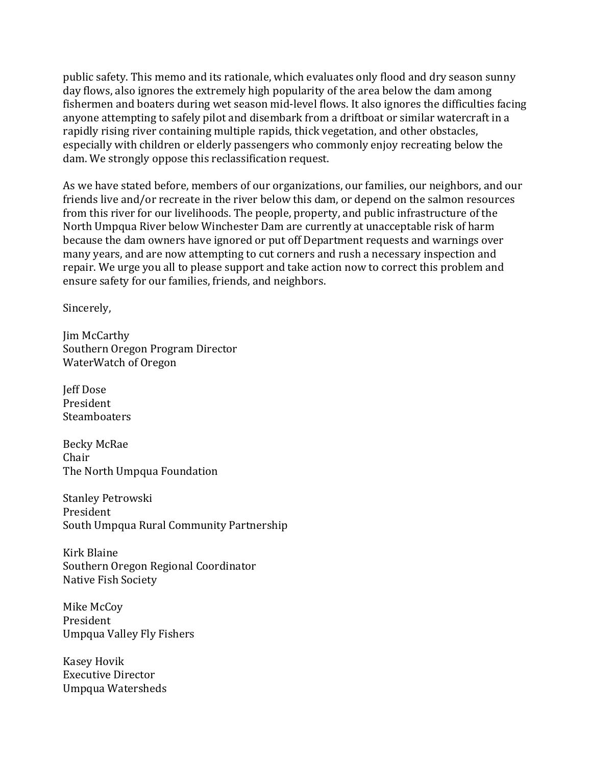public safety. This memo and its rationale, which evaluates only flood and dry season sunny day flows, also ignores the extremely high popularity of the area below the dam among fishermen and boaters during wet season mid-level flows. It also ignores the difficulties facing anyone attempting to safely pilot and disembark from a driftboat or similar watercraft in a rapidly rising river containing multiple rapids, thick vegetation, and other obstacles, especially with children or elderly passengers who commonly enjoy recreating below the dam. We strongly oppose this reclassification request.

As we have stated before, members of our organizations, our families, our neighbors, and our friends live and/or recreate in the river below this dam, or depend on the salmon resources from this river for our livelihoods. The people, property, and public infrastructure of the North Umpqua River below Winchester Dam are currently at unacceptable risk of harm because the dam owners have ignored or put off Department requests and warnings over many years, and are now attempting to cut corners and rush a necessary inspection and repair. We urge you all to please support and take action now to correct this problem and ensure safety for our families, friends, and neighbors.

Sincerely,

Jim McCarthy Southern Oregon Program Director WaterWatch of Oregon

**Jeff Dose** President **Steamboaters** 

Becky McRae Chair The North Umpqua Foundation

Stanley Petrowski President South Umpqua Rural Community Partnership

Kirk Blaine Southern Oregon Regional Coordinator Native Fish Society

Mike McCov President Umpqua Valley Fly Fishers

Kasey Hovik Executive Director Umpqua Watersheds